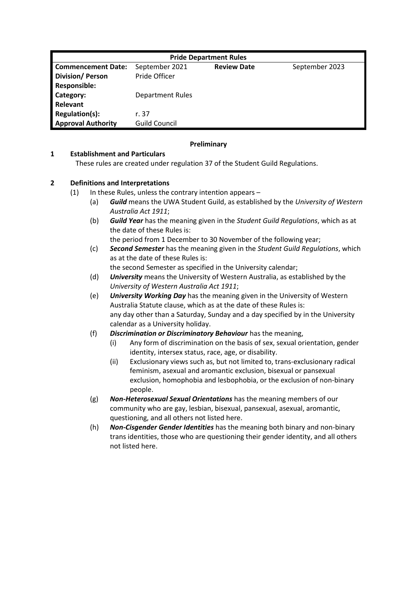| <b>Pride Department Rules</b> |                         |                    |                |  |
|-------------------------------|-------------------------|--------------------|----------------|--|
| <b>Commencement Date:</b>     | September 2021          | <b>Review Date</b> | September 2023 |  |
| <b>Division/Person</b>        | Pride Officer           |                    |                |  |
| <b>Responsible:</b>           |                         |                    |                |  |
| Category:                     | <b>Department Rules</b> |                    |                |  |
| Relevant                      |                         |                    |                |  |
| Regulation(s):                | r. 37                   |                    |                |  |
| <b>Approval Authority</b>     | <b>Guild Council</b>    |                    |                |  |

## **Preliminary**

#### **1 Establishment and Particulars**

These rules are created under regulation 37 of the Student Guild Regulations.

### **2 Definitions and Interpretations**

- (1) In these Rules, unless the contrary intention appears
	- (a) *Guild* means the UWA Student Guild, as established by the *University of Western Australia Act 1911*;
	- (b) *Guild Year* has the meaning given in the *Student Guild Regulations*, which as at the date of these Rules is:

the period from 1 December to 30 November of the following year;

- (c) *Second Semester* has the meaning given in the *Student Guild Regulations*, which as at the date of these Rules is: the second Semester as specified in the University calendar;
- (d) *University* means the University of Western Australia, as established by the *University of Western Australia Act 1911*;
- (e) *University Working Day* has the meaning given in the University of Western Australia Statute clause, which as at the date of these Rules is: any day other than a Saturday, Sunday and a day specified by in the University calendar as a University holiday.
- (f) *Discrimination or Discriminatory Behaviour* has the meaning,
	- (i) Any form of discrimination on the basis of sex, sexual orientation, gender identity, intersex status, race, age, or disability.
	- (ii) Exclusionary views such as, but not limited to, trans-exclusionary radical feminism, asexual and aromantic exclusion, bisexual or pansexual exclusion, homophobia and lesbophobia, or the exclusion of non-binary people.
- (g) *Non-Heterosexual Sexual Orientations* has the meaning members of our community who are gay, lesbian, bisexual, pansexual, asexual, aromantic, questioning, and all others not listed here.
- (h) *Non-Cisgender Gender Identities* has the meaning both binary and non-binary trans identities, those who are questioning their gender identity, and all others not listed here.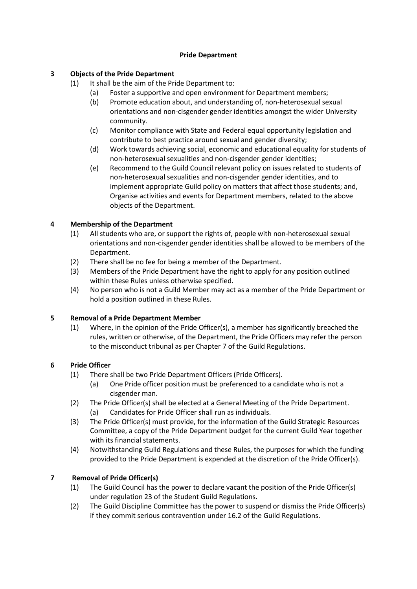### **Pride Department**

# **3 Objects of the Pride Department**

- (1) It shall be the aim of the Pride Department to:
	- (a) Foster a supportive and open environment for Department members;
		- (b) Promote education about, and understanding of, non-heterosexual sexual orientations and non-cisgender gender identities amongst the wider University community.
		- (c) Monitor compliance with State and Federal equal opportunity legislation and contribute to best practice around sexual and gender diversity;
		- (d) Work towards achieving social, economic and educational equality for students of non-heterosexual sexualities and non-cisgender gender identities;
		- (e) Recommend to the Guild Council relevant policy on issues related to students of non-heterosexual sexualities and non-cisgender gender identities, and to implement appropriate Guild policy on matters that affect those students; and, Organise activities and events for Department members, related to the above objects of the Department.

# **4 Membership of the Department**

- (1) All students who are, or support the rights of, people with non-heterosexual sexual orientations and non-cisgender gender identities shall be allowed to be members of the Department.
- (2) There shall be no fee for being a member of the Department.
- (3) Members of the Pride Department have the right to apply for any position outlined within these Rules unless otherwise specified.
- (4) No person who is not a Guild Member may act as a member of the Pride Department or hold a position outlined in these Rules.

# **5 Removal of a Pride Department Member**

(1) Where, in the opinion of the Pride Officer(s), a member has significantly breached the rules, written or otherwise, of the Department, the Pride Officers may refer the person to the misconduct tribunal as per Chapter 7 of the Guild Regulations.

# **6 Pride Officer**

- (1) There shall be two Pride Department Officers (Pride Officers).
	- (a) One Pride officer position must be preferenced to a candidate who is not a cisgender man.
- (2) The Pride Officer(s) shall be elected at a General Meeting of the Pride Department. (a) Candidates for Pride Officer shall run as individuals.
- (3) The Pride Officer(s) must provide, for the information of the Guild Strategic Resources Committee, a copy of the Pride Department budget for the current Guild Year together with its financial statements.
- (4) Notwithstanding Guild Regulations and these Rules, the purposes for which the funding provided to the Pride Department is expended at the discretion of the Pride Officer(s).

# **7 Removal of Pride Officer(s)**

- (1) The Guild Council has the power to declare vacant the position of the Pride Officer(s) under regulation 23 of the Student Guild Regulations.
- (2) The Guild Discipline Committee has the power to suspend or dismiss the Pride Officer(s) if they commit serious contravention under 16.2 of the Guild Regulations.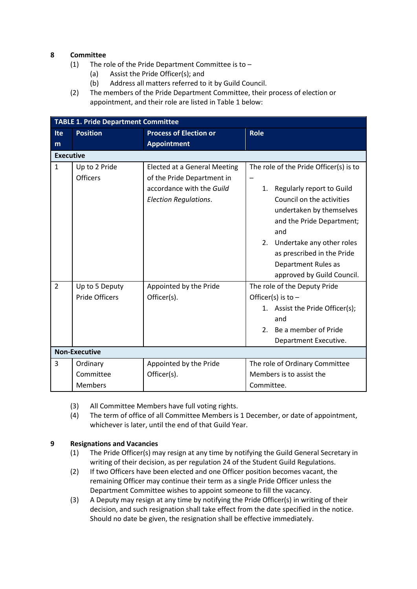## **8 Committee**

- (1) The role of the Pride Department Committee is to
	- (a) Assist the Pride Officer(s); and
	- (b) Address all matters referred to it by Guild Council.
- (2) The members of the Pride Department Committee, their process of election or appointment, and their role are listed in Table 1 below:

| <b>TABLE 1. Pride Department Committee</b> |                                  |                                                                                                                                |                                                                                                                                                                                                                                                                                              |  |  |
|--------------------------------------------|----------------------------------|--------------------------------------------------------------------------------------------------------------------------------|----------------------------------------------------------------------------------------------------------------------------------------------------------------------------------------------------------------------------------------------------------------------------------------------|--|--|
| Ite                                        | <b>Position</b>                  | <b>Process of Election or</b>                                                                                                  | <b>Role</b>                                                                                                                                                                                                                                                                                  |  |  |
| m                                          |                                  | <b>Appointment</b>                                                                                                             |                                                                                                                                                                                                                                                                                              |  |  |
| <b>Executive</b>                           |                                  |                                                                                                                                |                                                                                                                                                                                                                                                                                              |  |  |
| $\mathbf{1}$                               | Up to 2 Pride<br><b>Officers</b> | <b>Elected at a General Meeting</b><br>of the Pride Department in<br>accordance with the Guild<br><b>Election Regulations.</b> | The role of the Pride Officer(s) is to<br>Regularly report to Guild<br>1.<br>Council on the activities<br>undertaken by themselves<br>and the Pride Department;<br>and<br>2.<br>Undertake any other roles<br>as prescribed in the Pride<br>Department Rules as<br>approved by Guild Council. |  |  |
| $\overline{2}$                             | Up to 5 Deputy                   | Appointed by the Pride                                                                                                         | The role of the Deputy Pride                                                                                                                                                                                                                                                                 |  |  |
|                                            | <b>Pride Officers</b>            | Officer(s).                                                                                                                    | Officer(s) is to $-$                                                                                                                                                                                                                                                                         |  |  |
|                                            |                                  |                                                                                                                                | 1. Assist the Pride Officer(s);                                                                                                                                                                                                                                                              |  |  |
|                                            |                                  |                                                                                                                                | and                                                                                                                                                                                                                                                                                          |  |  |
|                                            |                                  |                                                                                                                                | Be a member of Pride<br>2.                                                                                                                                                                                                                                                                   |  |  |
|                                            |                                  |                                                                                                                                | Department Executive.                                                                                                                                                                                                                                                                        |  |  |
| <b>Non-Executive</b>                       |                                  |                                                                                                                                |                                                                                                                                                                                                                                                                                              |  |  |
| 3                                          | Ordinary                         | Appointed by the Pride                                                                                                         | The role of Ordinary Committee                                                                                                                                                                                                                                                               |  |  |
|                                            | Committee                        | Officer(s).                                                                                                                    | Members is to assist the                                                                                                                                                                                                                                                                     |  |  |
|                                            | <b>Members</b>                   |                                                                                                                                | Committee.                                                                                                                                                                                                                                                                                   |  |  |

- (3) All Committee Members have full voting rights.
- (4) The term of office of all Committee Members is 1 December, or date of appointment, whichever is later, until the end of that Guild Year.

# **9 Resignations and Vacancies**

- (1) The Pride Officer(s) may resign at any time by notifying the Guild General Secretary in writing of their decision, as per regulation 24 of the Student Guild Regulations.
- (2) If two Officers have been elected and one Officer position becomes vacant, the remaining Officer may continue their term as a single Pride Officer unless the Department Committee wishes to appoint someone to fill the vacancy.
- (3) A Deputy may resign at any time by notifying the Pride Officer(s) in writing of their decision, and such resignation shall take effect from the date specified in the notice. Should no date be given, the resignation shall be effective immediately.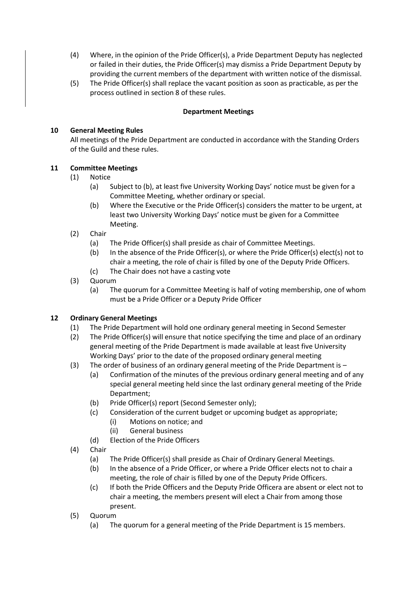- (4) Where, in the opinion of the Pride Officer(s), a Pride Department Deputy has neglected or failed in their duties, the Pride Officer(s) may dismiss a Pride Department Deputy by providing the current members of the department with written notice of the dismissal.
- (5) The Pride Officer(s) shall replace the vacant position as soon as practicable, as per the process outlined in section 8 of these rules.

### **Department Meetings**

# **10 General Meeting Rules**

All meetings of the Pride Department are conducted in accordance with the Standing Orders of the Guild and these rules.

### **11 Committee Meetings**

- (1) Notice
	- (a) Subject to (b), at least five University Working Days' notice must be given for a Committee Meeting, whether ordinary or special.
	- (b) Where the Executive or the Pride Officer(s) considers the matter to be urgent, at least two University Working Days' notice must be given for a Committee Meeting.
- (2) Chair
	- (a) The Pride Officer(s) shall preside as chair of Committee Meetings.
	- (b) In the absence of the Pride Officer(s), or where the Pride Officer(s) elect(s) not to chair a meeting, the role of chair is filled by one of the Deputy Pride Officers.
	- (c) The Chair does not have a casting vote
- (3) Quorum
	- (a) The quorum for a Committee Meeting is half of voting membership, one of whom must be a Pride Officer or a Deputy Pride Officer

# **12 Ordinary General Meetings**

- (1) The Pride Department will hold one ordinary general meeting in Second Semester
- (2) The Pride Officer(s) will ensure that notice specifying the time and place of an ordinary general meeting of the Pride Department is made available at least five University Working Days' prior to the date of the proposed ordinary general meeting
- (3) The order of business of an ordinary general meeting of the Pride Department is
	- (a) Confirmation of the minutes of the previous ordinary general meeting and of any special general meeting held since the last ordinary general meeting of the Pride Department;
	- (b) Pride Officer(s) report (Second Semester only);
	- (c) Consideration of the current budget or upcoming budget as appropriate;
		- (i) Motions on notice; and
		- (ii) General business
	- (d) Election of the Pride Officers
- (4) Chair
	- (a) The Pride Officer(s) shall preside as Chair of Ordinary General Meetings.
	- (b) In the absence of a Pride Officer, or where a Pride Officer elects not to chair a meeting, the role of chair is filled by one of the Deputy Pride Officers.
	- (c) If both the Pride Officers and the Deputy Pride Officera are absent or elect not to chair a meeting, the members present will elect a Chair from among those present.
- (5) Quorum
	- (a) The quorum for a general meeting of the Pride Department is 15 members.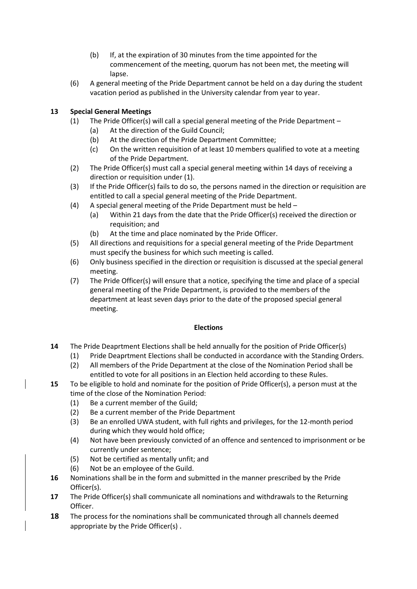- (b) If, at the expiration of 30 minutes from the time appointed for the commencement of the meeting, quorum has not been met, the meeting will lapse.
- (6) A general meeting of the Pride Department cannot be held on a day during the student vacation period as published in the University calendar from year to year.

# **13 Special General Meetings**

- (1) The Pride Officer(s) will call a special general meeting of the Pride Department
	- (a) At the direction of the Guild Council;
	- (b) At the direction of the Pride Department Committee;
	- (c) On the written requisition of at least 10 members qualified to vote at a meeting of the Pride Department.
- (2) The Pride Officer(s) must call a special general meeting within 14 days of receiving a direction or requisition under (1).
- (3) If the Pride Officer(s) fails to do so, the persons named in the direction or requisition are entitled to call a special general meeting of the Pride Department.
- (4) A special general meeting of the Pride Department must be held
	- (a) Within 21 days from the date that the Pride Officer(s) received the direction or requisition; and
	- (b) At the time and place nominated by the Pride Officer.
- (5) All directions and requisitions for a special general meeting of the Pride Department must specify the business for which such meeting is called.
- (6) Only business specified in the direction or requisition is discussed at the special general meeting.
- (7) The Pride Officer(s) will ensure that a notice, specifying the time and place of a special general meeting of the Pride Department, is provided to the members of the department at least seven days prior to the date of the proposed special general meeting.

# **Elections**

- **14** The Pride Deaprtment Elections shall be held annually for the position of Pride Officer(s)
	- (1) Pride Deaprtment Elections shall be conducted in accordance with the Standing Orders.
	- (2) All members of the Pride Department at the close of the Nomination Period shall be entitled to vote for all positions in an Election held according to these Rules.
- **15** To be eligible to hold and nominate for the position of Pride Officer(s), a person must at the time of the close of the Nomination Period:
	- (1) Be a current member of the Guild;
	- (2) Be a current member of the Pride Department
	- (3) Be an enrolled UWA student, with full rights and privileges, for the 12-month period during which they would hold office;
	- (4) Not have been previously convicted of an offence and sentenced to imprisonment or be currently under sentence;
	- (5) Not be certified as mentally unfit; and
	- (6) Not be an employee of the Guild.
- **16** Nominations shall be in the form and submitted in the manner prescribed by the Pride Officer(s).
- **17** The Pride Officer(s) shall communicate all nominations and withdrawals to the Returning Officer.
- **18** The process for the nominations shall be communicated through all channels deemed appropriate by the Pride Officer(s) .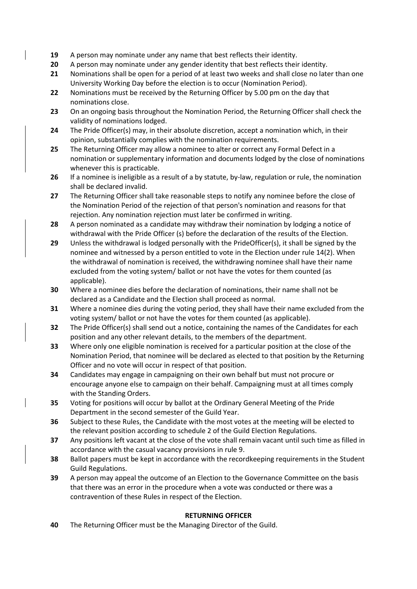- **19** A person may nominate under any name that best reflects their identity.
- **20** A person may nominate under any gender identity that best reflects their identity.
- **21** Nominations shall be open for a period of at least two weeks and shall close no later than one University Working Day before the election is to occur (Nomination Period).
- **22** Nominations must be received by the Returning Officer by 5.00 pm on the day that nominations close.
- **23** On an ongoing basis throughout the Nomination Period, the Returning Officer shall check the validity of nominations lodged.
- **24** The Pride Officer(s) may, in their absolute discretion, accept a nomination which, in their opinion, substantially complies with the nomination requirements.
- **25** The Returning Officer may allow a nominee to alter or correct any Formal Defect in a nomination or supplementary information and documents lodged by the close of nominations whenever this is practicable.
- **26** If a nominee is ineligible as a result of a by statute, by-law, regulation or rule, the nomination shall be declared invalid.
- **27** The Returning Officer shall take reasonable steps to notify any nominee before the close of the Nomination Period of the rejection of that person's nomination and reasons for that rejection. Any nomination rejection must later be confirmed in writing.
- **28** A person nominated as a candidate may withdraw their nomination by lodging a notice of withdrawal with the Pride Officer (s) before the declaration of the results of the Election.
- **29** Unless the withdrawal is lodged personally with the PrideOfficer(s), it shall be signed by the nominee and witnessed by a person entitled to vote in the Election under rule 14(2). When the withdrawal of nomination is received, the withdrawing nominee shall have their name excluded from the voting system/ ballot or not have the votes for them counted (as applicable).
- **30** Where a nominee dies before the declaration of nominations, their name shall not be declared as a Candidate and the Election shall proceed as normal.
- **31** Where a nominee dies during the voting period, they shall have their name excluded from the voting system/ ballot or not have the votes for them counted (as applicable).
- **32** The Pride Officer(s) shall send out a notice, containing the names of the Candidates for each position and any other relevant details, to the members of the department.
- **33** Where only one eligible nomination is received for a particular position at the close of the Nomination Period, that nominee will be declared as elected to that position by the Returning Officer and no vote will occur in respect of that position.
- **34** Candidates may engage in campaigning on their own behalf but must not procure or encourage anyone else to campaign on their behalf. Campaigning must at all times comply with the Standing Orders.
- **35** Voting for positions will occur by ballot at the Ordinary General Meeting of the Pride Department in the second semester of the Guild Year.
- **36** Subject to these Rules, the Candidate with the most votes at the meeting will be elected to the relevant position according to schedule 2 of the Guild Election Regulations.
- **37** Any positions left vacant at the close of the vote shall remain vacant until such time as filled in accordance with the casual vacancy provisions in rule 9.
- **38** Ballot papers must be kept in accordance with the recordkeeping requirements in the Student Guild Regulations.
- **39** A person may appeal the outcome of an Election to the Governance Committee on the basis that there was an error in the procedure when a vote was conducted or there was a contravention of these Rules in respect of the Election.

# **RETURNING OFFICER**

**40** The Returning Officer must be the Managing Director of the Guild.